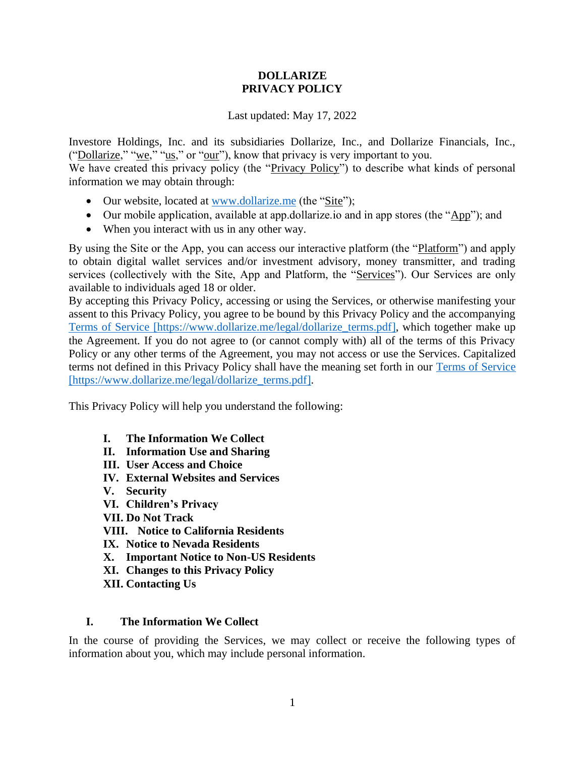#### **DOLLARIZE PRIVACY POLICY**

#### Last updated: May 17, 2022

Investore Holdings, Inc. and its subsidiaries Dollarize, Inc., and Dollarize Financials, Inc., ("Dollarize," "we," "us," or "our"), know that privacy is very important to you.

We have created this privacy policy (the "Privacy Policy") to describe what kinds of personal information we may obtain through:

- Our website, located at [www.dollarize.me](https://www.dollarize.me/) (the "Site");
- Our mobile application, available at app.dollarize.io and in app stores (the "App"); and
- When you interact with us in any other way.

By using the Site or the App, you can access our interactive platform (the "Platform") and apply to obtain digital wallet services and/or investment advisory, money transmitter, and trading services (collectively with the Site, App and Platform, the "Services"). Our Services are only available to individuals aged 18 or older.

By accepting this Privacy Policy, accessing or using the Services, or otherwise manifesting your assent to this Privacy Policy, you agree to be bound by this Privacy Policy and the accompanying [Terms of Service](https://www.dollarize.me/legal/dollarize_terms.pdf) [https://www.dollarize.me/legal/dollarize\_terms.pdf], which together make up the Agreement. If you do not agree to (or cannot comply with) all of the terms of this Privacy Policy or any other terms of the Agreement, you may not access or use the Services. Capitalized terms not defined in this Privacy Policy shall have the meaning set forth in our [Terms of Service](https://www.dollarize.me/legal/dollarize_terms.pdf) [https://www.dollarize.me/legal/dollarize\_terms.pdf].

This Privacy Policy will help you understand the following:

- **I. The Information We Collect**
- **II. Information Use and Sharing**
- **III. User Access and Choice**
- **IV. External Websites and Services**
- **V. Security**
- **VI. Children's Privacy**
- **VII. Do Not Track**
- **VIII. Notice to California Residents**
- **IX. Notice to Nevada Residents**
- **X. Important Notice to Non-US Residents**
- **XI. Changes to this Privacy Policy**
- **XII. Contacting Us**

#### **I. The Information We Collect**

In the course of providing the Services, we may collect or receive the following types of information about you, which may include personal information.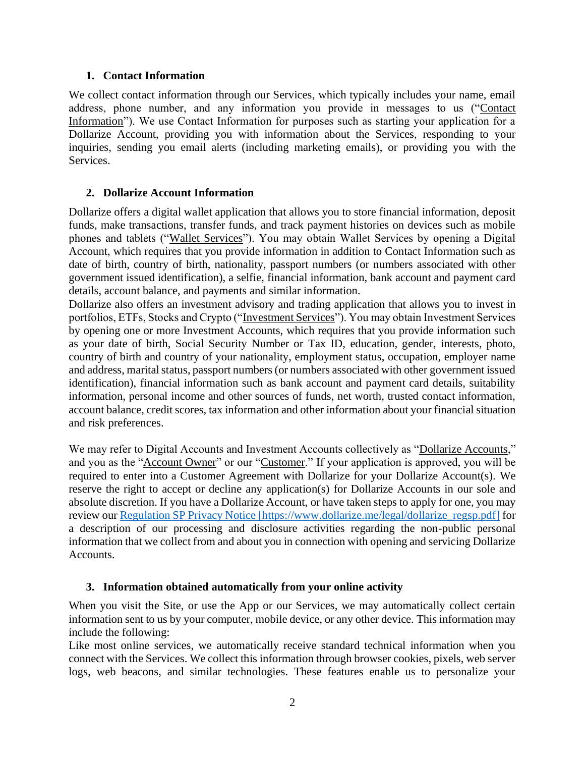#### **1. Contact Information**

We collect contact information through our Services, which typically includes your name, email address, phone number, and any information you provide in messages to us ("Contact Information"). We use Contact Information for purposes such as starting your application for a Dollarize Account, providing you with information about the Services, responding to your inquiries, sending you email alerts (including marketing emails), or providing you with the **Services** 

#### **2. Dollarize Account Information**

Dollarize offers a digital wallet application that allows you to store financial information, deposit funds, make transactions, transfer funds, and track payment histories on devices such as mobile phones and tablets ("Wallet Services"). You may obtain Wallet Services by opening a Digital Account, which requires that you provide information in addition to Contact Information such as date of birth, country of birth, nationality, passport numbers (or numbers associated with other government issued identification), a selfie, financial information, bank account and payment card details, account balance, and payments and similar information.

Dollarize also offers an investment advisory and trading application that allows you to invest in portfolios, ETFs, Stocks and Crypto ("Investment Services"). You may obtain Investment Services by opening one or more Investment Accounts, which requires that you provide information such as your date of birth, Social Security Number or Tax ID, education, gender, interests, photo, country of birth and country of your nationality, employment status, occupation, employer name and address, marital status, passport numbers (or numbers associated with other government issued identification), financial information such as bank account and payment card details, suitability information, personal income and other sources of funds, net worth, trusted contact information, account balance, credit scores, tax information and other information about your financial situation and risk preferences.

We may refer to Digital Accounts and Investment Accounts collectively as "Dollarize Accounts," and you as the "Account Owner" or our "Customer." If your application is approved, you will be required to enter into a Customer Agreement with Dollarize for your Dollarize Account(s). We reserve the right to accept or decline any application(s) for Dollarize Accounts in our sole and absolute discretion. If you have a Dollarize Account, or have taken steps to apply for one, you may review ou[r Regulation SP Privacy Notice](https://www.dollarize.me/legal/dollarize_regsp.pdf) [https://www.dollarize.me/legal/dollarize\_regsp.pdf] for a description of our processing and disclosure activities regarding the non-public personal information that we collect from and about you in connection with opening and servicing Dollarize Accounts.

#### **3. Information obtained automatically from your online activity**

When you visit the Site, or use the App or our Services, we may automatically collect certain information sent to us by your computer, mobile device, or any other device. This information may include the following:

Like most online services, we automatically receive standard technical information when you connect with the Services. We collect this information through browser cookies, pixels, web server logs, web beacons, and similar technologies. These features enable us to personalize your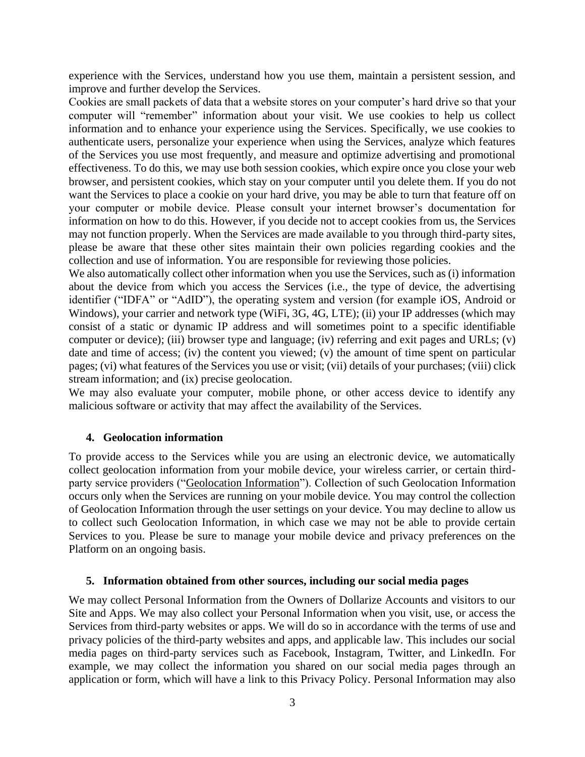experience with the Services, understand how you use them, maintain a persistent session, and improve and further develop the Services.

Cookies are small packets of data that a website stores on your computer's hard drive so that your computer will "remember" information about your visit. We use cookies to help us collect information and to enhance your experience using the Services. Specifically, we use cookies to authenticate users, personalize your experience when using the Services, analyze which features of the Services you use most frequently, and measure and optimize advertising and promotional effectiveness. To do this, we may use both session cookies, which expire once you close your web browser, and persistent cookies, which stay on your computer until you delete them. If you do not want the Services to place a cookie on your hard drive, you may be able to turn that feature off on your computer or mobile device. Please consult your internet browser's documentation for information on how to do this. However, if you decide not to accept cookies from us, the Services may not function properly. When the Services are made available to you through third-party sites, please be aware that these other sites maintain their own policies regarding cookies and the collection and use of information. You are responsible for reviewing those policies.

We also automatically collect other information when you use the Services, such as (i) information about the device from which you access the Services (i.e., the type of device, the advertising identifier ("IDFA" or "AdID"), the operating system and version (for example iOS, Android or Windows), your carrier and network type (WiFi, 3G, 4G, LTE); (ii) your IP addresses (which may consist of a static or dynamic IP address and will sometimes point to a specific identifiable computer or device); (iii) browser type and language; (iv) referring and exit pages and URLs; (v) date and time of access; (iv) the content you viewed; (v) the amount of time spent on particular pages; (vi) what features of the Services you use or visit; (vii) details of your purchases; (viii) click stream information; and (ix) precise geolocation.

We may also evaluate your computer, mobile phone, or other access device to identify any malicious software or activity that may affect the availability of the Services.

#### **4. Geolocation information**

To provide access to the Services while you are using an electronic device, we automatically collect geolocation information from your mobile device, your wireless carrier, or certain thirdparty service providers ("Geolocation Information"). Collection of such Geolocation Information occurs only when the Services are running on your mobile device. You may control the collection of Geolocation Information through the user settings on your device. You may decline to allow us to collect such Geolocation Information, in which case we may not be able to provide certain Services to you. Please be sure to manage your mobile device and privacy preferences on the Platform on an ongoing basis.

#### **5. Information obtained from other sources, including our social media pages**

We may collect Personal Information from the Owners of Dollarize Accounts and visitors to our Site and Apps. We may also collect your Personal Information when you visit, use, or access the Services from third-party websites or apps. We will do so in accordance with the terms of use and privacy policies of the third-party websites and apps, and applicable law. This includes our social media pages on third-party services such as Facebook, Instagram, Twitter, and LinkedIn. For example, we may collect the information you shared on our social media pages through an application or form, which will have a link to this Privacy Policy. Personal Information may also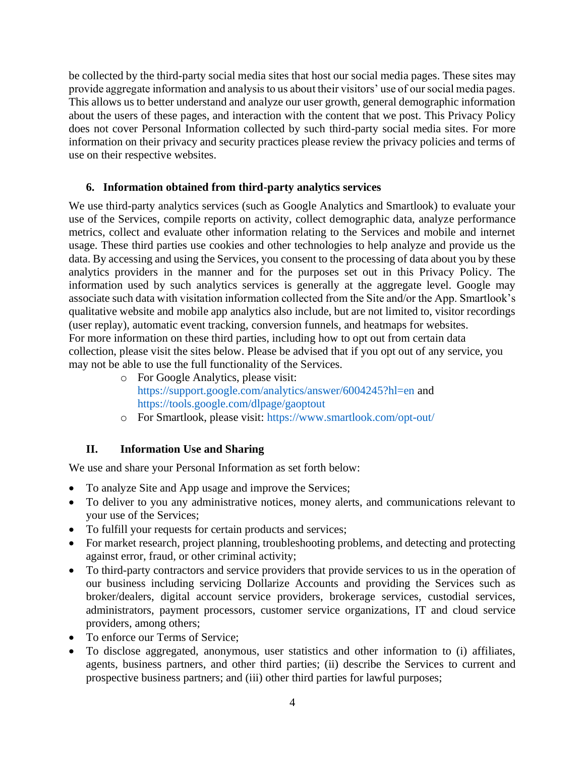be collected by the third-party social media sites that host our social media pages. These sites may provide aggregate information and analysis to us about their visitors' use of our social media pages. This allows us to better understand and analyze our user growth, general demographic information about the users of these pages, and interaction with the content that we post. This Privacy Policy does not cover Personal Information collected by such third-party social media sites. For more information on their privacy and security practices please review the privacy policies and terms of use on their respective websites.

### **6. Information obtained from third-party analytics services**

We use third-party analytics services (such as Google Analytics and Smartlook) to evaluate your use of the Services, compile reports on activity, collect demographic data, analyze performance metrics, collect and evaluate other information relating to the Services and mobile and internet usage. These third parties use cookies and other technologies to help analyze and provide us the data. By accessing and using the Services, you consent to the processing of data about you by these analytics providers in the manner and for the purposes set out in this Privacy Policy. The information used by such analytics services is generally at the aggregate level. Google may associate such data with visitation information collected from the Site and/or the App. Smartlook's qualitative website and mobile app analytics also include, but are not limited to, visitor recordings (user replay), automatic event tracking, conversion funnels, and heatmaps for websites. For more information on these third parties, including how to opt out from certain data collection, please visit the sites below. Please be advised that if you opt out of any service, you may not be able to use the full functionality of the Services.

- o For Google Analytics, please visit: <https://support.google.com/analytics/answer/6004245?hl=en> and <https://tools.google.com/dlpage/gaoptout>
- o For Smartlook, please visit:<https://www.smartlook.com/opt-out/>

## **II. Information Use and Sharing**

We use and share your Personal Information as set forth below:

- To analyze Site and App usage and improve the Services;
- To deliver to you any administrative notices, money alerts, and communications relevant to your use of the Services;
- To fulfill your requests for certain products and services;
- For market research, project planning, troubleshooting problems, and detecting and protecting against error, fraud, or other criminal activity;
- To third-party contractors and service providers that provide services to us in the operation of our business including servicing Dollarize Accounts and providing the Services such as broker/dealers, digital account service providers, brokerage services, custodial services, administrators, payment processors, customer service organizations, IT and cloud service providers, among others;
- To enforce our Terms of Service:
- To disclose aggregated, anonymous, user statistics and other information to (i) affiliates, agents, business partners, and other third parties; (ii) describe the Services to current and prospective business partners; and (iii) other third parties for lawful purposes;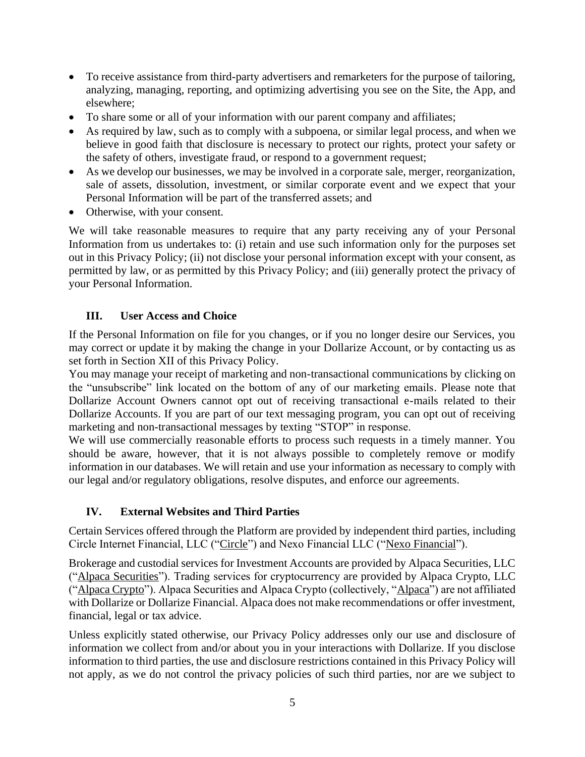- To receive assistance from third-party advertisers and remarketers for the purpose of tailoring, analyzing, managing, reporting, and optimizing advertising you see on the Site, the App, and elsewhere;
- To share some or all of your information with our parent company and affiliates;
- As required by law, such as to comply with a subpoena, or similar legal process, and when we believe in good faith that disclosure is necessary to protect our rights, protect your safety or the safety of others, investigate fraud, or respond to a government request;
- As we develop our businesses, we may be involved in a corporate sale, merger, reorganization, sale of assets, dissolution, investment, or similar corporate event and we expect that your Personal Information will be part of the transferred assets; and
- Otherwise, with your consent.

We will take reasonable measures to require that any party receiving any of your Personal Information from us undertakes to: (i) retain and use such information only for the purposes set out in this Privacy Policy; (ii) not disclose your personal information except with your consent, as permitted by law, or as permitted by this Privacy Policy; and (iii) generally protect the privacy of your Personal Information.

## **III. User Access and Choice**

If the Personal Information on file for you changes, or if you no longer desire our Services, you may correct or update it by making the change in your Dollarize Account, or by contacting us as set forth in Section XII of this Privacy Policy.

You may manage your receipt of marketing and non-transactional communications by clicking on the "unsubscribe" link located on the bottom of any of our marketing emails. Please note that Dollarize Account Owners cannot opt out of receiving transactional e-mails related to their Dollarize Accounts. If you are part of our text messaging program, you can opt out of receiving marketing and non-transactional messages by texting "STOP" in response.

We will use commercially reasonable efforts to process such requests in a timely manner. You should be aware, however, that it is not always possible to completely remove or modify information in our databases. We will retain and use your information as necessary to comply with our legal and/or regulatory obligations, resolve disputes, and enforce our agreements.

## **IV. External Websites and Third Parties**

Certain Services offered through the Platform are provided by independent third parties, including Circle Internet Financial, LLC ("Circle") and Nexo Financial LLC ("Nexo Financial").

Brokerage and custodial services for Investment Accounts are provided by Alpaca Securities, LLC ("Alpaca Securities"). Trading services for cryptocurrency are provided by Alpaca Crypto, LLC ("Alpaca Crypto"). Alpaca Securities and Alpaca Crypto (collectively, "Alpaca") are not affiliated with Dollarize or Dollarize Financial. Alpaca does not make recommendations or offer investment, financial, legal or tax advice.

Unless explicitly stated otherwise, our Privacy Policy addresses only our use and disclosure of information we collect from and/or about you in your interactions with Dollarize. If you disclose information to third parties, the use and disclosure restrictions contained in this Privacy Policy will not apply, as we do not control the privacy policies of such third parties, nor are we subject to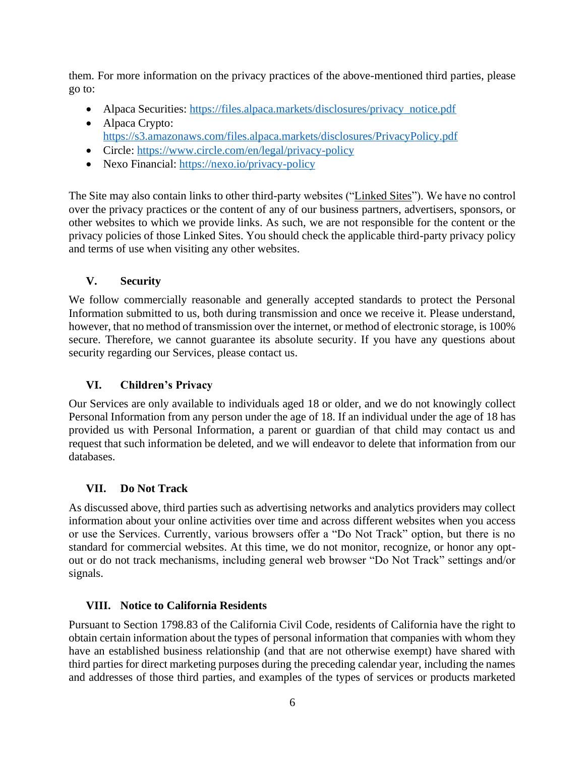them. For more information on the privacy practices of the above-mentioned third parties, please go to:

- Alpaca Securities: [https://files.alpaca.markets/disclosures/privacy\\_notice.pdf](https://files.alpaca.markets/disclosures/privacy_notice.pdf)
- Alpaca Crypto: <https://s3.amazonaws.com/files.alpaca.markets/disclosures/PrivacyPolicy.pdf>
- Circle:<https://www.circle.com/en/legal/privacy-policy>
- Nexo Financial:<https://nexo.io/privacy-policy>

The Site may also contain links to other third-party websites ("Linked Sites"). We have no control over the privacy practices or the content of any of our business partners, advertisers, sponsors, or other websites to which we provide links. As such, we are not responsible for the content or the privacy policies of those Linked Sites. You should check the applicable third-party privacy policy and terms of use when visiting any other websites.

### **V. Security**

We follow commercially reasonable and generally accepted standards to protect the Personal Information submitted to us, both during transmission and once we receive it. Please understand, however, that no method of transmission over the internet, or method of electronic storage, is 100% secure. Therefore, we cannot guarantee its absolute security. If you have any questions about security regarding our Services, please contact us.

## **VI. Children's Privacy**

Our Services are only available to individuals aged 18 or older, and we do not knowingly collect Personal Information from any person under the age of 18. If an individual under the age of 18 has provided us with Personal Information, a parent or guardian of that child may contact us and request that such information be deleted, and we will endeavor to delete that information from our databases.

## **VII. Do Not Track**

As discussed above, third parties such as advertising networks and analytics providers may collect information about your online activities over time and across different websites when you access or use the Services. Currently, various browsers offer a "Do Not Track" option, but there is no standard for commercial websites. At this time, we do not monitor, recognize, or honor any optout or do not track mechanisms, including general web browser "Do Not Track" settings and/or signals.

#### **VIII. Notice to California Residents**

Pursuant to Section 1798.83 of the California Civil Code, residents of California have the right to obtain certain information about the types of personal information that companies with whom they have an established business relationship (and that are not otherwise exempt) have shared with third parties for direct marketing purposes during the preceding calendar year, including the names and addresses of those third parties, and examples of the types of services or products marketed